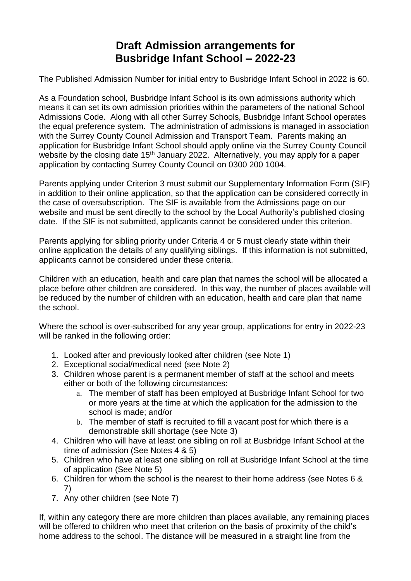# **Draft Admission arrangements for Busbridge Infant School – 2022-23**

The Published Admission Number for initial entry to Busbridge Infant School in 2022 is 60.

As a Foundation school, Busbridge Infant School is its own admissions authority which means it can set its own admission priorities within the parameters of the national School Admissions Code. Along with all other Surrey Schools, Busbridge Infant School operates the equal preference system. The administration of admissions is managed in association with the Surrey County Council Admission and Transport Team. Parents making an application for Busbridge Infant School should apply online via the Surrey County Council website by the closing date 15<sup>th</sup> January 2022. Alternatively, you may apply for a paper application by contacting Surrey County Council on 0300 200 1004.

Parents applying under Criterion 3 must submit our Supplementary Information Form (SIF) in addition to their online application, so that the application can be considered correctly in the case of oversubscription. The SIF is available from the Admissions page on our website and must be sent directly to the school by the Local Authority's published closing date. If the SIF is not submitted, applicants cannot be considered under this criterion.

Parents applying for sibling priority under Criteria 4 or 5 must clearly state within their online application the details of any qualifying siblings. If this information is not submitted, applicants cannot be considered under these criteria.

Children with an education, health and care plan that names the school will be allocated a place before other children are considered. In this way, the number of places available will be reduced by the number of children with an education, health and care plan that name the school.

Where the school is over-subscribed for any year group, applications for entry in 2022-23 will be ranked in the following order:

- 1. Looked after and previously looked after children (see Note 1)
- 2. Exceptional social/medical need (see Note 2)
- 3. Children whose parent is a permanent member of staff at the school and meets either or both of the following circumstances:
	- a. The member of staff has been employed at Busbridge Infant School for two or more years at the time at which the application for the admission to the school is made; and/or
	- b. The member of staff is recruited to fill a vacant post for which there is a demonstrable skill shortage (see Note 3)
- 4. Children who will have at least one sibling on roll at Busbridge Infant School at the time of admission (See Notes 4 & 5)
- 5. Children who have at least one sibling on roll at Busbridge Infant School at the time of application (See Note 5)
- 6. Children for whom the school is the nearest to their home address (see Notes 6 & 7)
- 7. Any other children (see Note 7)

If, within any category there are more children than places available, any remaining places will be offered to children who meet that criterion on the basis of proximity of the child's home address to the school. The distance will be measured in a straight line from the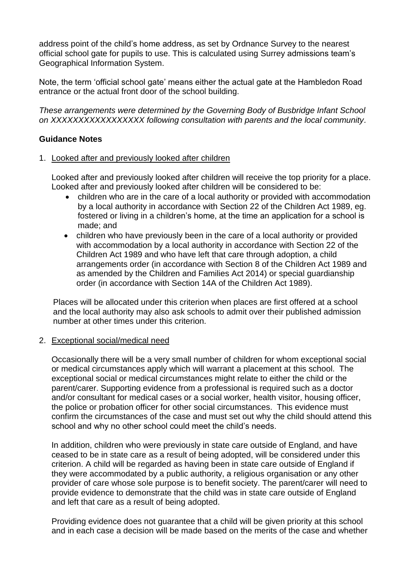address point of the child's home address, as set by Ordnance Survey to the nearest official school gate for pupils to use. This is calculated using Surrey admissions team's Geographical Information System.

Note, the term 'official school gate' means either the actual gate at the Hambledon Road entrance or the actual front door of the school building.

*These arrangements were determined by the Governing Body of Busbridge Infant School on XXXXXXXXXXXXXXXXX following consultation with parents and the local community.*

# **Guidance Notes**

## 1. Looked after and previously looked after children

Looked after and previously looked after children will receive the top priority for a place. Looked after and previously looked after children will be considered to be:

- children who are in the care of a local authority or provided with accommodation by a local authority in accordance with Section 22 of the Children Act 1989, eg. fostered or living in a children's home, at the time an application for a school is made; and
- children who have previously been in the care of a local authority or provided with accommodation by a local authority in accordance with Section 22 of the Children Act 1989 and who have left that care through adoption, a child arrangements order (in accordance with Section 8 of the Children Act 1989 and as amended by the Children and Families Act 2014) or special guardianship order (in accordance with Section 14A of the Children Act 1989).

Places will be allocated under this criterion when places are first offered at a school and the local authority may also ask schools to admit over their published admission number at other times under this criterion.

#### 2. Exceptional social/medical need

Occasionally there will be a very small number of children for whom exceptional social or medical circumstances apply which will warrant a placement at this school. The exceptional social or medical circumstances might relate to either the child or the parent/carer. Supporting evidence from a professional is required such as a doctor and/or consultant for medical cases or a social worker, health visitor, housing officer, the police or probation officer for other social circumstances. This evidence must confirm the circumstances of the case and must set out why the child should attend this school and why no other school could meet the child's needs.

In addition, children who were previously in state care outside of England, and have ceased to be in state care as a result of being adopted, will be considered under this criterion. A child will be regarded as having been in state care outside of England if they were accommodated by a public authority, a religious organisation or any other provider of care whose sole purpose is to benefit society. The parent/carer will need to provide evidence to demonstrate that the child was in state care outside of England and left that care as a result of being adopted.

Providing evidence does not guarantee that a child will be given priority at this school and in each case a decision will be made based on the merits of the case and whether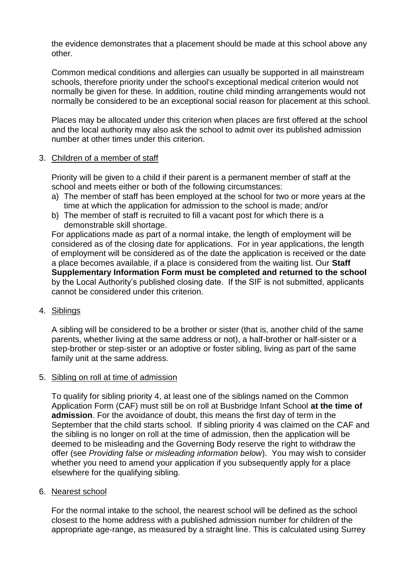the evidence demonstrates that a placement should be made at this school above any other.

Common medical conditions and allergies can usually be supported in all mainstream schools, therefore priority under the school's exceptional medical criterion would not normally be given for these. In addition, routine child minding arrangements would not normally be considered to be an exceptional social reason for placement at this school.

Places may be allocated under this criterion when places are first offered at the school and the local authority may also ask the school to admit over its published admission number at other times under this criterion.

## 3. Children of a member of staff

Priority will be given to a child if their parent is a permanent member of staff at the school and meets either or both of the following circumstances:

- a) The member of staff has been employed at the school for two or more years at the time at which the application for admission to the school is made; and/or
- b) The member of staff is recruited to fill a vacant post for which there is a demonstrable skill shortage.

For applications made as part of a normal intake, the length of employment will be considered as of the closing date for applications. For in year applications, the length of employment will be considered as of the date the application is received or the date a place becomes available, if a place is considered from the waiting list. Our **Staff Supplementary Information Form must be completed and returned to the school** by the Local Authority's published closing date. If the SIF is not submitted, applicants cannot be considered under this criterion.

## 4. Siblings

A sibling will be considered to be a brother or sister (that is, another child of the same parents, whether living at the same address or not), a half-brother or half-sister or a step-brother or step-sister or an adoptive or foster sibling, living as part of the same family unit at the same address.

#### 5. Sibling on roll at time of admission

To qualify for sibling priority 4, at least one of the siblings named on the Common Application Form (CAF) must still be on roll at Busbridge Infant School **at the time of admission**. For the avoidance of doubt, this means the first day of term in the September that the child starts school. If sibling priority 4 was claimed on the CAF and the sibling is no longer on roll at the time of admission, then the application will be deemed to be misleading and the Governing Body reserve the right to withdraw the offer (see *Providing false or misleading information below*). You may wish to consider whether you need to amend your application if you subsequently apply for a place elsewhere for the qualifying sibling.

## 6. Nearest school

For the normal intake to the school, the nearest school will be defined as the school closest to the home address with a published admission number for children of the appropriate age-range, as measured by a straight line. This is calculated using Surrey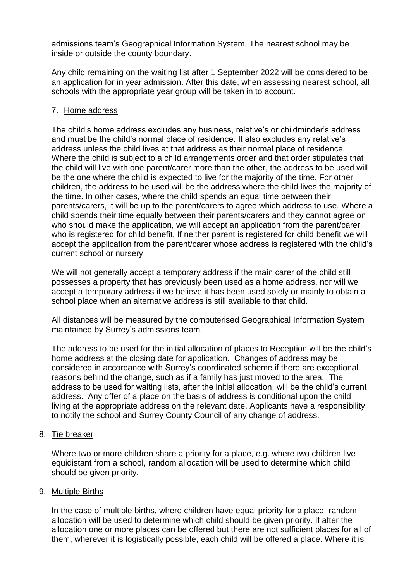admissions team's Geographical Information System. The nearest school may be inside or outside the county boundary.

Any child remaining on the waiting list after 1 September 2022 will be considered to be an application for in year admission. After this date, when assessing nearest school, all schools with the appropriate year group will be taken in to account.

# 7. Home address

The child's home address excludes any business, relative's or childminder's address and must be the child's normal place of residence. It also excludes any relative's address unless the child lives at that address as their normal place of residence. Where the child is subject to a child arrangements order and that order stipulates that the child will live with one parent/carer more than the other, the address to be used will be the one where the child is expected to live for the majority of the time. For other children, the address to be used will be the address where the child lives the majority of the time. In other cases, where the child spends an equal time between their parents/carers, it will be up to the parent/carers to agree which address to use. Where a child spends their time equally between their parents/carers and they cannot agree on who should make the application, we will accept an application from the parent/carer who is registered for child benefit. If neither parent is registered for child benefit we will accept the application from the parent/carer whose address is registered with the child's current school or nursery.

We will not generally accept a temporary address if the main carer of the child still possesses a property that has previously been used as a home address, nor will we accept a temporary address if we believe it has been used solely or mainly to obtain a school place when an alternative address is still available to that child.

All distances will be measured by the computerised Geographical Information System maintained by Surrey's admissions team.

The address to be used for the initial allocation of places to Reception will be the child's home address at the closing date for application. Changes of address may be considered in accordance with Surrey's coordinated scheme if there are exceptional reasons behind the change, such as if a family has just moved to the area. The address to be used for waiting lists, after the initial allocation, will be the child's current address. Any offer of a place on the basis of address is conditional upon the child living at the appropriate address on the relevant date. Applicants have a responsibility to notify the school and Surrey County Council of any change of address.

## 8. Tie breaker

Where two or more children share a priority for a place, e.g. where two children live equidistant from a school, random allocation will be used to determine which child should be given priority.

## 9. Multiple Births

In the case of multiple births, where children have equal priority for a place, random allocation will be used to determine which child should be given priority. If after the allocation one or more places can be offered but there are not sufficient places for all of them, wherever it is logistically possible, each child will be offered a place. Where it is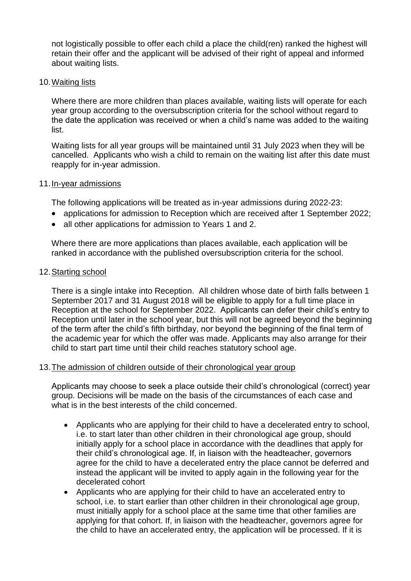not logistically possible to offer each child a place the child(ren) ranked the highest will retain their offer and the applicant will be advised of their right of appeal and informed about waiting lists.

#### 10.Waiting lists

Where there are more children than places available, waiting lists will operate for each year group according to the oversubscription criteria for the school without regard to the date the application was received or when a child's name was added to the waiting list.

Waiting lists for all year groups will be maintained until 31 July 2023 when they will be cancelled. Applicants who wish a child to remain on the waiting list after this date must reapply for in-year admission.

#### 11.In-year admissions

The following applications will be treated as in-year admissions during 2022-23:

- applications for admission to Reception which are received after 1 September 2022;
- all other applications for admission to Years 1 and 2.

Where there are more applications than places available, each application will be ranked in accordance with the published oversubscription criteria for the school.

#### 12.Starting school

There is a single intake into Reception. All children whose date of birth falls between 1 September 2017 and 31 August 2018 will be eligible to apply for a full time place in Reception at the school for September 2022. Applicants can defer their child's entry to Reception until later in the school year, but this will not be agreed beyond the beginning of the term after the child's fifth birthday, nor beyond the beginning of the final term of the academic year for which the offer was made. Applicants may also arrange for their child to start part time until their child reaches statutory school age.

## 13.The admission of children outside of their chronological year group

Applicants may choose to seek a place outside their child's chronological (correct) year group. Decisions will be made on the basis of the circumstances of each case and what is in the best interests of the child concerned.

- Applicants who are applying for their child to have a decelerated entry to school, i.e. to start later than other children in their chronological age group, should initially apply for a school place in accordance with the deadlines that apply for their child's chronological age. If, in liaison with the headteacher, governors agree for the child to have a decelerated entry the place cannot be deferred and instead the applicant will be invited to apply again in the following year for the decelerated cohort
- Applicants who are applying for their child to have an accelerated entry to school, i.e. to start earlier than other children in their chronological age group, must initially apply for a school place at the same time that other families are applying for that cohort. If, in liaison with the headteacher, governors agree for the child to have an accelerated entry, the application will be processed. If it is